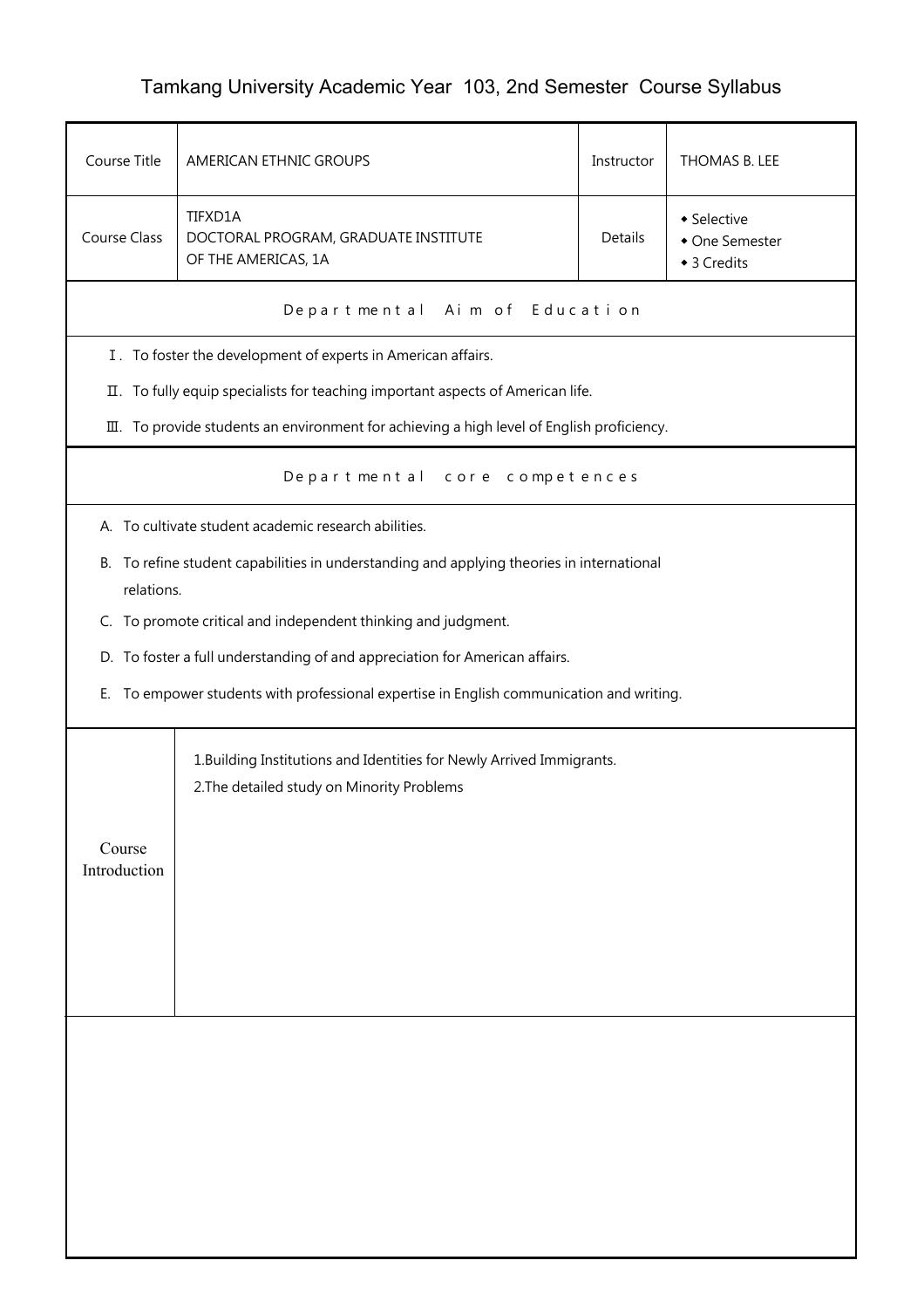## Tamkang University Academic Year 103, 2nd Semester Course Syllabus

| Course Title                                                                                                                    | AMERICAN ETHNIC GROUPS<br>THOMAS B. LEE<br>Instructor                                                               |                |  |  |
|---------------------------------------------------------------------------------------------------------------------------------|---------------------------------------------------------------------------------------------------------------------|----------------|--|--|
| TIFXD1A<br>• Selective<br>Course Class<br>Details<br>DOCTORAL PROGRAM, GRADUATE INSTITUTE<br>OF THE AMERICAS, 1A<br>◆ 3 Credits |                                                                                                                     | • One Semester |  |  |
|                                                                                                                                 | Departmental Aim of Education                                                                                       |                |  |  |
|                                                                                                                                 | I. To foster the development of experts in American affairs.                                                        |                |  |  |
|                                                                                                                                 | II. To fully equip specialists for teaching important aspects of American life.                                     |                |  |  |
| III. To provide students an environment for achieving a high level of English proficiency.                                      |                                                                                                                     |                |  |  |
| Departmental core competences                                                                                                   |                                                                                                                     |                |  |  |
|                                                                                                                                 | A. To cultivate student academic research abilities.                                                                |                |  |  |
| В.                                                                                                                              | To refine student capabilities in understanding and applying theories in international<br>relations.                |                |  |  |
|                                                                                                                                 | C. To promote critical and independent thinking and judgment.                                                       |                |  |  |
|                                                                                                                                 | D. To foster a full understanding of and appreciation for American affairs.                                         |                |  |  |
| Е.                                                                                                                              | To empower students with professional expertise in English communication and writing.                               |                |  |  |
|                                                                                                                                 | 1. Building Institutions and Identities for Newly Arrived Immigrants.<br>2. The detailed study on Minority Problems |                |  |  |
| Course<br>Introduction                                                                                                          |                                                                                                                     |                |  |  |
|                                                                                                                                 |                                                                                                                     |                |  |  |
|                                                                                                                                 |                                                                                                                     |                |  |  |
|                                                                                                                                 |                                                                                                                     |                |  |  |
|                                                                                                                                 |                                                                                                                     |                |  |  |
|                                                                                                                                 |                                                                                                                     |                |  |  |
|                                                                                                                                 |                                                                                                                     |                |  |  |
|                                                                                                                                 |                                                                                                                     |                |  |  |
|                                                                                                                                 |                                                                                                                     |                |  |  |
|                                                                                                                                 |                                                                                                                     |                |  |  |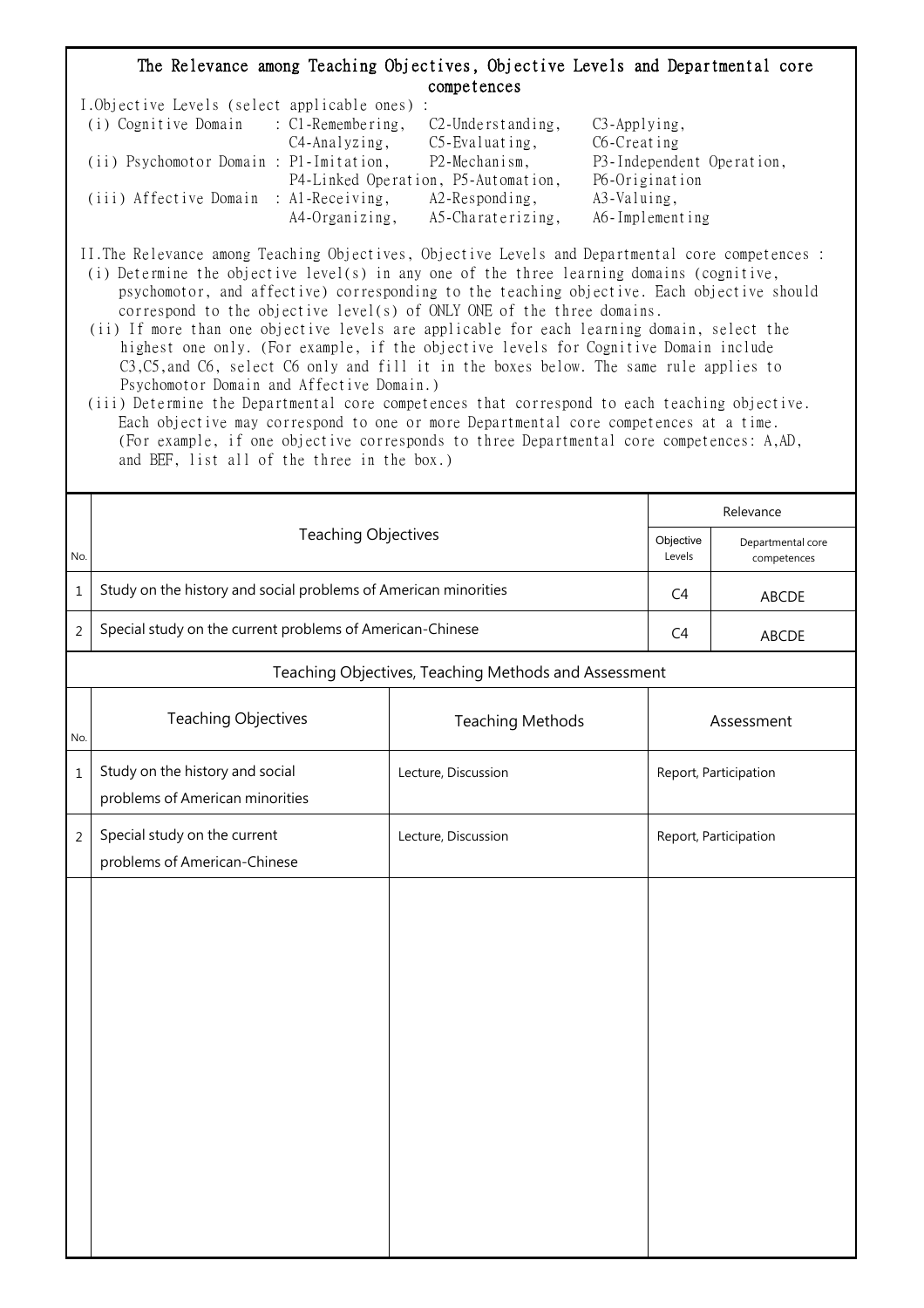## The Relevance among Teaching Objectives, Objective Levels and Departmental core competences

| I.Objective Levels (select applicable ones) : |                |                                     |                           |
|-----------------------------------------------|----------------|-------------------------------------|---------------------------|
| (i) Cognitive Domain : C1-Remembering,        |                | $C2$ -Understanding,                | $C3$ -Applying,           |
|                                               | C4-Analyzing,  | $C5$ -Evaluating,                   | C6-Creating               |
| (ii) Psychomotor Domain : P1-Imitation,       |                | P2-Mechanism,                       | P3-Independent Operation, |
|                                               |                | P4-Linked Operation, P5-Automation, | P6-Origination            |
| (iii) Affective Domain : Al-Receiving,        |                | $A2$ -Responding,                   | A3-Valuing,               |
|                                               | A4-Organizing, | A5-Charaterizing,                   | A6-Implementing           |

II.The Relevance among Teaching Objectives, Objective Levels and Departmental core competences :

- (i) Determine the objective level(s) in any one of the three learning domains (cognitive, psychomotor, and affective) corresponding to the teaching objective. Each objective should correspond to the objective level(s) of ONLY ONE of the three domains.
- (ii) If more than one objective levels are applicable for each learning domain, select the highest one only. (For example, if the objective levels for Cognitive Domain include C3,C5,and C6, select C6 only and fill it in the boxes below. The same rule applies to Psychomotor Domain and Affective Domain.)
- (iii) Determine the Departmental core competences that correspond to each teaching objective. Each objective may correspond to one or more Departmental core competences at a time. (For example, if one objective corresponds to three Departmental core competences: A,AD, and BEF, list all of the three in the box.)

|                | <b>Teaching Objectives</b>                                         |                         |            | Relevance                        |  |  |
|----------------|--------------------------------------------------------------------|-------------------------|------------|----------------------------------|--|--|
| No.            |                                                                    |                         |            | Departmental core<br>competences |  |  |
| $1\,$          | Study on the history and social problems of American minorities    |                         |            | ABCDE                            |  |  |
| $\overline{2}$ | Special study on the current problems of American-Chinese          |                         |            | <b>ABCDE</b>                     |  |  |
|                | Teaching Objectives, Teaching Methods and Assessment               |                         |            |                                  |  |  |
| No.            | <b>Teaching Objectives</b>                                         | <b>Teaching Methods</b> | Assessment |                                  |  |  |
| $1\,$          | Study on the history and social<br>problems of American minorities | Lecture, Discussion     |            | Report, Participation            |  |  |
| $\overline{2}$ | Special study on the current<br>problems of American-Chinese       | Lecture, Discussion     |            | Report, Participation            |  |  |
|                |                                                                    |                         |            |                                  |  |  |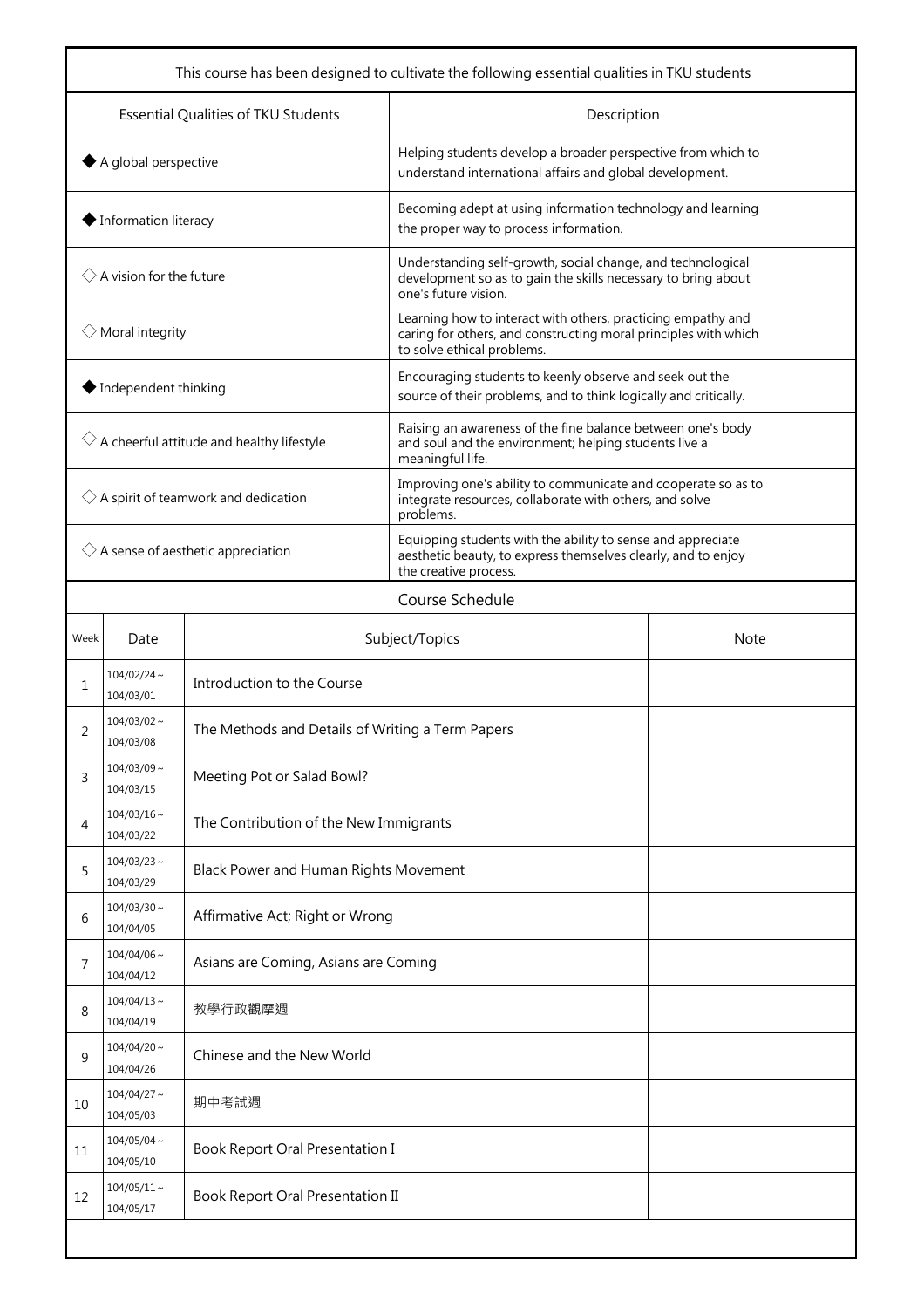| This course has been designed to cultivate the following essential qualities in TKU students |                               |                                                  |                                                                                                                                                               |  |  |  |
|----------------------------------------------------------------------------------------------|-------------------------------|--------------------------------------------------|---------------------------------------------------------------------------------------------------------------------------------------------------------------|--|--|--|
| Essential Qualities of TKU Students                                                          |                               |                                                  | Description                                                                                                                                                   |  |  |  |
| $\blacklozenge$ A global perspective                                                         |                               |                                                  | Helping students develop a broader perspective from which to<br>understand international affairs and global development.                                      |  |  |  |
| ♦ Information literacy                                                                       |                               |                                                  | Becoming adept at using information technology and learning<br>the proper way to process information.                                                         |  |  |  |
| $\Diamond$ A vision for the future                                                           |                               |                                                  | Understanding self-growth, social change, and technological<br>development so as to gain the skills necessary to bring about<br>one's future vision.          |  |  |  |
| $\Diamond$ Moral integrity                                                                   |                               |                                                  | Learning how to interact with others, practicing empathy and<br>caring for others, and constructing moral principles with which<br>to solve ethical problems. |  |  |  |
| $\blacklozenge$ Independent thinking                                                         |                               |                                                  | Encouraging students to keenly observe and seek out the<br>source of their problems, and to think logically and critically.                                   |  |  |  |
| $\Diamond$ A cheerful attitude and healthy lifestyle                                         |                               |                                                  | Raising an awareness of the fine balance between one's body<br>and soul and the environment; helping students live a<br>meaningful life.                      |  |  |  |
| $\Diamond$ A spirit of teamwork and dedication                                               |                               |                                                  | Improving one's ability to communicate and cooperate so as to<br>integrate resources, collaborate with others, and solve<br>problems.                         |  |  |  |
| $\Diamond$ A sense of aesthetic appreciation                                                 |                               |                                                  | Equipping students with the ability to sense and appreciate<br>aesthetic beauty, to express themselves clearly, and to enjoy<br>the creative process.         |  |  |  |
|                                                                                              | Course Schedule               |                                                  |                                                                                                                                                               |  |  |  |
| Week                                                                                         | Date                          | Subject/Topics<br><b>Note</b>                    |                                                                                                                                                               |  |  |  |
| 1                                                                                            | $104/02/24$ ~<br>104/03/01    | Introduction to the Course                       |                                                                                                                                                               |  |  |  |
| 2                                                                                            | $104/03/02 \sim$<br>104/03/08 | The Methods and Details of Writing a Term Papers |                                                                                                                                                               |  |  |  |
| 3                                                                                            | $104/03/09$ ~<br>104/03/15    | Meeting Pot or Salad Bowl?                       |                                                                                                                                                               |  |  |  |
| 4                                                                                            | $104/03/16 \sim$<br>104/03/22 | The Contribution of the New Immigrants           |                                                                                                                                                               |  |  |  |
| 5                                                                                            | $104/03/23$ ~<br>104/03/29    | Black Power and Human Rights Movement            |                                                                                                                                                               |  |  |  |
| 6                                                                                            | $104/03/30$ ~<br>104/04/05    | Affirmative Act; Right or Wrong                  |                                                                                                                                                               |  |  |  |
| 7                                                                                            | $104/04/06$ ~<br>104/04/12    | Asians are Coming, Asians are Coming             |                                                                                                                                                               |  |  |  |
| 8                                                                                            | $104/04/13 \sim$<br>104/04/19 | 教學行政觀摩週                                          |                                                                                                                                                               |  |  |  |
| 9                                                                                            | $104/04/20$ ~<br>104/04/26    | Chinese and the New World                        |                                                                                                                                                               |  |  |  |
| 10                                                                                           | $104/04/27$ ~<br>104/05/03    | 期中考試週                                            |                                                                                                                                                               |  |  |  |
| 11                                                                                           | $104/05/04$ ~<br>104/05/10    | Book Report Oral Presentation I                  |                                                                                                                                                               |  |  |  |
| 12                                                                                           | $104/05/11 \sim$<br>104/05/17 | Book Report Oral Presentation II                 |                                                                                                                                                               |  |  |  |
|                                                                                              |                               |                                                  |                                                                                                                                                               |  |  |  |